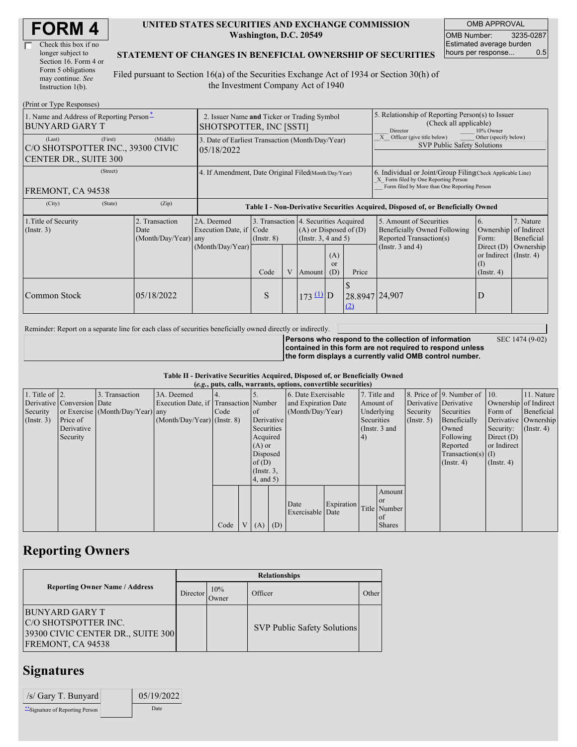| <b>FORM4</b> |
|--------------|
|--------------|

| Check this box if no  |
|-----------------------|
| longer subject to     |
| Section 16. Form 4 or |
| Form 5 obligations    |
| may continue. See     |
| Instruction $1(b)$ .  |

#### **UNITED STATES SECURITIES AND EXCHANGE COMMISSION Washington, D.C. 20549**

OMB APPROVAL OMB Number: 3235-0287 Estimated average burden hours per response... 0.5

#### **STATEMENT OF CHANGES IN BENEFICIAL OWNERSHIP OF SECURITIES**

Filed pursuant to Section 16(a) of the Securities Exchange Act of 1934 or Section 30(h) of the Investment Company Act of 1940

| (Print or Type Responses)                                                              |                                                                        |                                                                                  |                                 |   |                                                                                                                                                   |  |                                                                                                                                                    |                                                                                                             |                                                                                        |                                                     |  |
|----------------------------------------------------------------------------------------|------------------------------------------------------------------------|----------------------------------------------------------------------------------|---------------------------------|---|---------------------------------------------------------------------------------------------------------------------------------------------------|--|----------------------------------------------------------------------------------------------------------------------------------------------------|-------------------------------------------------------------------------------------------------------------|----------------------------------------------------------------------------------------|-----------------------------------------------------|--|
| 1. Name and Address of Reporting Person-<br><b>BUNYARD GARY T</b>                      | 2. Issuer Name and Ticker or Trading Symbol<br>SHOTSPOTTER, INC [SSTI] |                                                                                  |                                 |   |                                                                                                                                                   |  | 5. Relationship of Reporting Person(s) to Issuer<br>(Check all applicable)<br>10% Owner<br><b>Director</b>                                         |                                                                                                             |                                                                                        |                                                     |  |
| (First)<br>(Last)<br>C/O SHOTSPOTTER INC., 39300 CIVIC<br><b>CENTER DR., SUITE 300</b> | (Middle)                                                               | 3. Date of Earliest Transaction (Month/Day/Year)<br>05/18/2022                   |                                 |   |                                                                                                                                                   |  |                                                                                                                                                    | Other (specify below)<br>Officer (give title below)<br><b>SVP Public Safety Solutions</b>                   |                                                                                        |                                                     |  |
| (Street)<br>FREMONT, CA 94538                                                          | 4. If Amendment, Date Original Filed(Month/Day/Year)                   |                                                                                  |                                 |   |                                                                                                                                                   |  | 6. Individual or Joint/Group Filing Check Applicable Line)<br>X Form filed by One Reporting Person<br>Form filed by More than One Reporting Person |                                                                                                             |                                                                                        |                                                     |  |
| (City)<br>(State)                                                                      | (Zip)                                                                  | Table I - Non-Derivative Securities Acquired, Disposed of, or Beneficially Owned |                                 |   |                                                                                                                                                   |  |                                                                                                                                                    |                                                                                                             |                                                                                        |                                                     |  |
| 1. Title of Security<br>(Insert. 3)                                                    | 2. Transaction<br>Date<br>(Month/Day/Year) any                         | 2A. Deemed<br>Execution Date, if<br>(Month/Day/Year)                             | Code<br>$($ Instr. $8)$<br>Code | V | 3. Transaction 4. Securities Acquired<br>$(A)$ or Disposed of $(D)$<br>(Instr. $3, 4$ and $5$ )<br>(A)<br><sub>or</sub><br>Price<br>(D)<br>Amount |  |                                                                                                                                                    | 5. Amount of Securities<br>Beneficially Owned Following<br>Reported Transaction(s)<br>(Instr. $3$ and $4$ ) | 6.<br>Ownership<br>Form:<br>Direct $(D)$<br>or Indirect (Instr. 4)<br>$($ Instr. 4 $)$ | 7. Nature<br>of Indirect<br>Beneficial<br>Ownership |  |
| Common Stock                                                                           | 05/18/2022                                                             |                                                                                  | S                               |   | $173 \text{ D}$                                                                                                                                   |  | 28.8947 24,907<br>(2)                                                                                                                              |                                                                                                             | D                                                                                      |                                                     |  |

Reminder: Report on a separate line for each class of securities beneficially owned directly or indirectly.

**Persons who respond to the collection of information contained in this form are not required to respond unless the form displays a currently valid OMB control number.** SEC 1474 (9-02)

**Table II - Derivative Securities Acquired, Disposed of, or Beneficially Owned (***e.g.***, puts, calls, warrants, options, convertible securities)**

| $(c, \zeta, \mu, \zeta)$ cans, warrants, options, convertible securities) |                            |                                  |                                       |      |  |                 |            |                     |            |            |               |                       |                              |                       |                      |
|---------------------------------------------------------------------------|----------------------------|----------------------------------|---------------------------------------|------|--|-----------------|------------|---------------------|------------|------------|---------------|-----------------------|------------------------------|-----------------------|----------------------|
| 1. Title of $\vert$ 2.                                                    |                            | 3. Transaction                   | 3A. Deemed                            |      |  |                 |            | 6. Date Exercisable |            |            | 7. Title and  |                       | 8. Price of 9. Number of 10. |                       | 11. Nature           |
|                                                                           | Derivative Conversion Date |                                  | Execution Date, if Transaction Number |      |  |                 |            | and Expiration Date |            | Amount of  |               | Derivative Derivative |                              | Ownership of Indirect |                      |
| Security                                                                  |                            | or Exercise (Month/Day/Year) any |                                       | Code |  | of              |            | (Month/Day/Year)    |            |            | Underlying    | Security              | Securities                   | Form of               | Beneficial           |
| (Insert. 3)                                                               | Price of                   |                                  | $(Month/Day/Year)$ (Instr. 8)         |      |  |                 | Derivative |                     |            | Securities |               | $($ Instr. 5)         | Beneficially                 |                       | Derivative Ownership |
|                                                                           | Derivative                 |                                  |                                       |      |  | Securities      |            |                     |            |            | (Instr. 3 and |                       | Owned                        | Security:             | $($ Instr. 4)        |
|                                                                           | Security                   |                                  |                                       |      |  | Acquired        |            |                     |            | 4)         |               |                       | Following                    | Direct $(D)$          |                      |
|                                                                           |                            |                                  |                                       |      |  | $(A)$ or        |            |                     |            |            |               |                       | Reported                     | or Indirect           |                      |
|                                                                           |                            |                                  |                                       |      |  | Disposed        |            |                     |            |            |               |                       | $Transaction(s)$ (I)         |                       |                      |
|                                                                           |                            |                                  |                                       |      |  | of $(D)$        |            |                     |            |            |               |                       | $($ Instr. 4)                | $($ Instr. 4 $)$      |                      |
|                                                                           |                            |                                  |                                       |      |  | $($ Instr. 3,   |            |                     |            |            |               |                       |                              |                       |                      |
|                                                                           |                            |                                  |                                       |      |  | $4$ , and $5$ ) |            |                     |            |            |               |                       |                              |                       |                      |
|                                                                           |                            |                                  |                                       |      |  |                 |            |                     |            |            | Amount        |                       |                              |                       |                      |
|                                                                           |                            |                                  |                                       |      |  |                 |            | Date                | Expiration |            | <sub>or</sub> |                       |                              |                       |                      |
|                                                                           |                            |                                  |                                       |      |  |                 |            | Exercisable Date    |            |            | Title Number  |                       |                              |                       |                      |
|                                                                           |                            |                                  |                                       |      |  |                 |            |                     |            |            | $\alpha$ f    |                       |                              |                       |                      |
|                                                                           |                            |                                  |                                       | Code |  | V(A)            | (D)        |                     |            |            | <b>Shares</b> |                       |                              |                       |                      |

## **Reporting Owners**

|                                                                                                   | <b>Relationships</b> |              |                                    |       |  |  |  |  |  |
|---------------------------------------------------------------------------------------------------|----------------------|--------------|------------------------------------|-------|--|--|--|--|--|
| <b>Reporting Owner Name / Address</b>                                                             | Director             | 10%<br>Owner | Officer                            | Other |  |  |  |  |  |
| IBUNYARD GARY T<br>C/O SHOTSPOTTER INC.<br>39300 CIVIC CENTER DR., SUITE 300<br>FREMONT, CA 94538 |                      |              | <b>SVP Public Safety Solutions</b> |       |  |  |  |  |  |

## **Signatures**

| $\sqrt{s}$ Gary T. Bunyard     | 05/19/2022 |
|--------------------------------|------------|
| "Signature of Reporting Person | Date       |